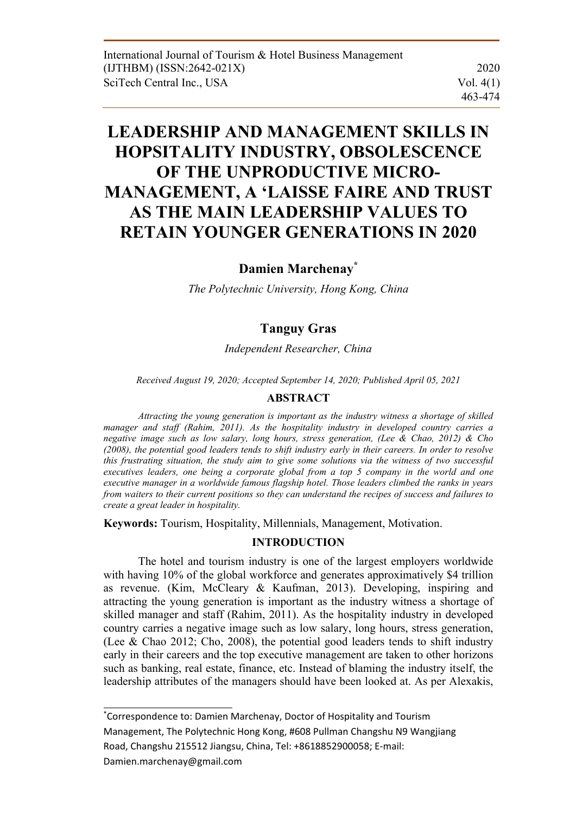# **LEADERSHIP AND MANAGEMENT SKILLS IN HOPSITALITY INDUSTRY, OBSOLESCENCE OF THE UNPRODUCTIVE MICRO-MANAGEMENT, A 'LAISSE FAIRE AND TRUST AS THE MAIN LEADERSHIP VALUES TO RETAIN YOUNGER GENERATIONS IN 2020**

# **Damien Marchenay\***

*The Polytechnic University, Hong Kong, China* 

# **Tanguy Gras**

*Independent Researcher, China* 

*Received August 19, 2020; Accepted September 14, 2020; Published April 05, 2021* 

#### **ABSTRACT**

*Attracting the young generation is important as the industry witness a shortage of skilled manager and staff (Rahim, 2011). As the hospitality industry in developed country carries a negative image such as low salary, long hours, stress generation, (Lee & Chao, 2012) & Cho (2008), the potential good leaders tends to shift industry early in their careers. In order to resolve this frustrating situation, the study aim to give some solutions via the witness of two successful executives leaders, one being a corporate global from a top 5 company in the world and one executive manager in a worldwide famous flagship hotel. Those leaders climbed the ranks in years from waiters to their current positions so they can understand the recipes of success and failures to create a great leader in hospitality.* 

**Keywords:** Tourism, Hospitality, Millennials, Management, Motivation.

## **INTRODUCTION**

The hotel and tourism industry is one of the largest employers worldwide with having 10% of the global workforce and generates approximatively \$4 trillion as revenue. (Kim, McCleary & Kaufman, 2013). Developing, inspiring and attracting the young generation is important as the industry witness a shortage of skilled manager and staff (Rahim, 2011). As the hospitality industry in developed country carries a negative image such as low salary, long hours, stress generation, (Lee & Chao 2012; Cho, 2008), the potential good leaders tends to shift industry early in their careers and the top executive management are taken to other horizons such as banking, real estate, finance, etc. Instead of blaming the industry itself, the leadership attributes of the managers should have been looked at. As per Alexakis,

<sup>\*</sup> Correspondence to: Damien Marchenay, Doctor of Hospitality and Tourism Management, The Polytechnic Hong Kong, #608 Pullman Changshu N9 Wangjiang Road, Changshu 215512 Jiangsu, China, Tel: +8618852900058; E‐mail: Damien.marchenay@gmail.com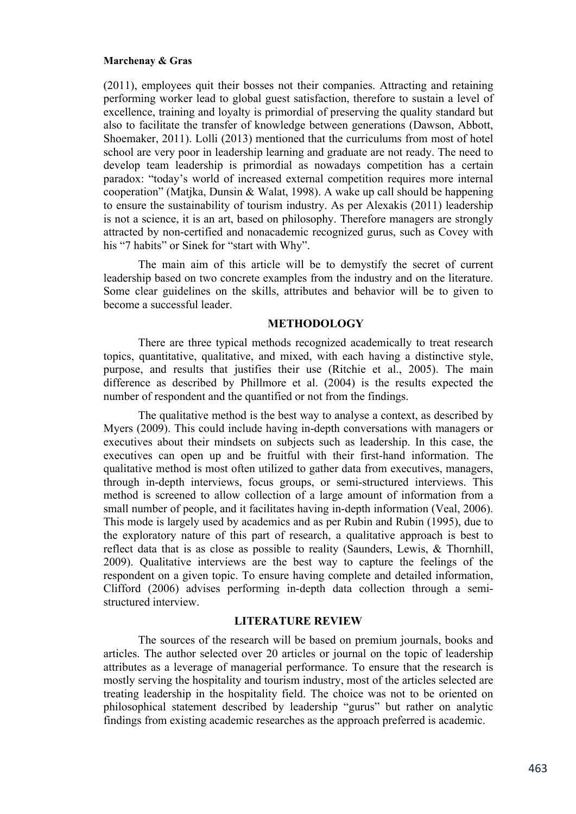(2011), employees quit their bosses not their companies. Attracting and retaining performing worker lead to global guest satisfaction, therefore to sustain a level of excellence, training and loyalty is primordial of preserving the quality standard but also to facilitate the transfer of knowledge between generations (Dawson, Abbott, Shoemaker, 2011). Lolli (2013) mentioned that the curriculums from most of hotel school are very poor in leadership learning and graduate are not ready. The need to develop team leadership is primordial as nowadays competition has a certain paradox: "today's world of increased external competition requires more internal cooperation" (Matjka, Dunsin & Walat, 1998). A wake up call should be happening to ensure the sustainability of tourism industry. As per Alexakis (2011) leadership is not a science, it is an art, based on philosophy. Therefore managers are strongly attracted by non-certified and nonacademic recognized gurus, such as Covey with his "7 habits" or Sinek for "start with Why".

The main aim of this article will be to demystify the secret of current leadership based on two concrete examples from the industry and on the literature. Some clear guidelines on the skills, attributes and behavior will be to given to become a successful leader.

#### **METHODOLOGY**

There are three typical methods recognized academically to treat research topics, quantitative, qualitative, and mixed, with each having a distinctive style, purpose, and results that justifies their use (Ritchie et al., 2005). The main difference as described by Phillmore et al. (2004) is the results expected the number of respondent and the quantified or not from the findings.

The qualitative method is the best way to analyse a context, as described by Myers (2009). This could include having in-depth conversations with managers or executives about their mindsets on subjects such as leadership. In this case, the executives can open up and be fruitful with their first-hand information. The qualitative method is most often utilized to gather data from executives, managers, through in-depth interviews, focus groups, or semi-structured interviews. This method is screened to allow collection of a large amount of information from a small number of people, and it facilitates having in-depth information (Veal, 2006). This mode is largely used by academics and as per Rubin and Rubin (1995), due to the exploratory nature of this part of research, a qualitative approach is best to reflect data that is as close as possible to reality (Saunders, Lewis, & Thornhill, 2009). Qualitative interviews are the best way to capture the feelings of the respondent on a given topic. To ensure having complete and detailed information, Clifford (2006) advises performing in-depth data collection through a semistructured interview.

## **LITERATURE REVIEW**

The sources of the research will be based on premium journals, books and articles. The author selected over 20 articles or journal on the topic of leadership attributes as a leverage of managerial performance. To ensure that the research is mostly serving the hospitality and tourism industry, most of the articles selected are treating leadership in the hospitality field. The choice was not to be oriented on philosophical statement described by leadership "gurus" but rather on analytic findings from existing academic researches as the approach preferred is academic.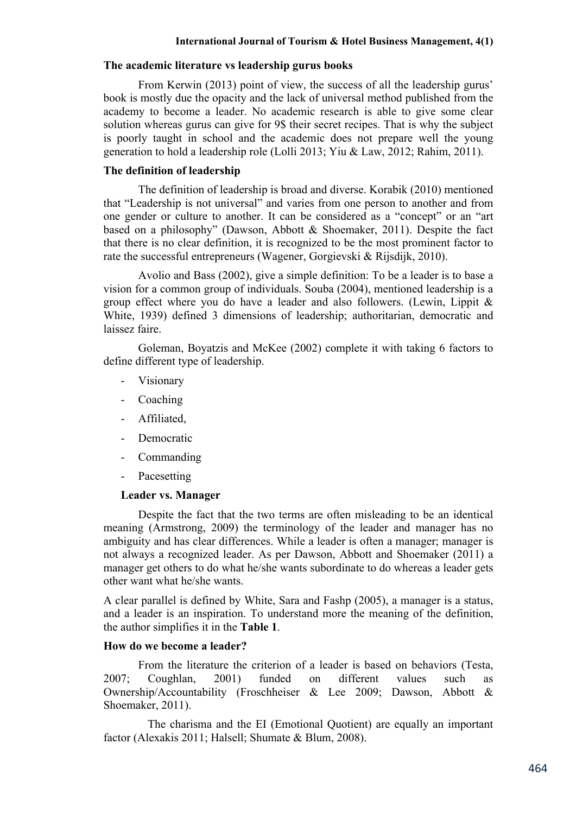## **The academic literature vs leadership gurus books**

From Kerwin (2013) point of view, the success of all the leadership gurus' book is mostly due the opacity and the lack of universal method published from the academy to become a leader. No academic research is able to give some clear solution whereas gurus can give for 9\$ their secret recipes. That is why the subject is poorly taught in school and the academic does not prepare well the young generation to hold a leadership role (Lolli 2013; Yiu & Law, 2012; Rahim, 2011).

## **The definition of leadership**

The definition of leadership is broad and diverse. Korabik (2010) mentioned that "Leadership is not universal" and varies from one person to another and from one gender or culture to another. It can be considered as a "concept" or an "art based on a philosophy" (Dawson, Abbott & Shoemaker, 2011). Despite the fact that there is no clear definition, it is recognized to be the most prominent factor to rate the successful entrepreneurs (Wagener, Gorgievski & Rijsdijk, 2010).

Avolio and Bass (2002), give a simple definition: To be a leader is to base a vision for a common group of individuals. Souba (2004), mentioned leadership is a group effect where you do have a leader and also followers. (Lewin, Lippit & White, 1939) defined 3 dimensions of leadership; authoritarian, democratic and laissez faire.

Goleman, Boyatzis and McKee (2002) complete it with taking 6 factors to define different type of leadership.

- Visionary
- Coaching
- Affiliated,
- Democratic
- Commanding
- Pacesetting

## **Leader vs. Manager**

Despite the fact that the two terms are often misleading to be an identical meaning (Armstrong, 2009) the terminology of the leader and manager has no ambiguity and has clear differences. While a leader is often a manager; manager is not always a recognized leader. As per Dawson, Abbott and Shoemaker (2011) a manager get others to do what he/she wants subordinate to do whereas a leader gets other want what he/she wants.

A clear parallel is defined by White, Sara and Fashp (2005), a manager is a status, and a leader is an inspiration. To understand more the meaning of the definition, the author simplifies it in the **Table 1**.

## **How do we become a leader?**

From the literature the criterion of a leader is based on behaviors (Testa, 2007; Coughlan, 2001) funded on different values such as Ownership/Accountability (Froschheiser & Lee 2009; Dawson, Abbott & Shoemaker, 2011).

The charisma and the EI (Emotional Quotient) are equally an important factor (Alexakis 2011; Halsell; Shumate & Blum, 2008).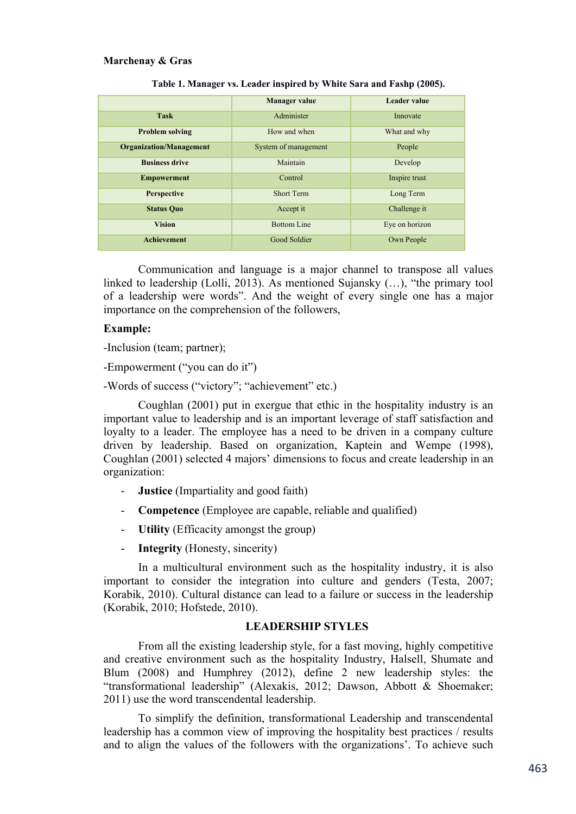|                                | <b>Manager value</b> | Leader value   |
|--------------------------------|----------------------|----------------|
| <b>Task</b>                    | Administer           | Innovate       |
| <b>Problem solving</b>         | How and when         | What and why   |
| <b>Organization/Management</b> | System of management | People         |
| <b>Business drive</b>          | Maintain             | Develop        |
| <b>Empowerment</b>             | Control              | Inspire trust  |
| <b>Perspective</b>             | <b>Short Term</b>    | Long Term      |
| <b>Status Quo</b>              | Accept it            | Challenge it   |
| <b>Vision</b>                  | <b>Bottom Line</b>   | Eye on horizon |
| <b>Achievement</b>             | <b>Good Soldier</b>  | Own People     |

| Table 1. Manager vs. Leader inspired by White Sara and Fashp (2005). |  |  |
|----------------------------------------------------------------------|--|--|
|                                                                      |  |  |

Communication and language is a major channel to transpose all values linked to leadership (Lolli, 2013). As mentioned Sujansky (…), "the primary tool of a leadership were words". And the weight of every single one has a major importance on the comprehension of the followers,

#### **Example:**

-Inclusion (team; partner);

-Empowerment ("you can do it")

-Words of success ("victory"; "achievement" etc.)

Coughlan (2001) put in exergue that ethic in the hospitality industry is an important value to leadership and is an important leverage of staff satisfaction and loyalty to a leader. The employee has a need to be driven in a company culture driven by leadership. Based on organization, Kaptein and Wempe (1998), Coughlan (2001) selected 4 majors' dimensions to focus and create leadership in an organization:

- **Justice** (Impartiality and good faith)
- **Competence** (Employee are capable, reliable and qualified)
- **Utility** (Efficacity amongst the group)
- **Integrity** (Honesty, sincerity)

In a multicultural environment such as the hospitality industry, it is also important to consider the integration into culture and genders (Testa, 2007; Korabik, 2010). Cultural distance can lead to a failure or success in the leadership (Korabik, 2010; Hofstede, 2010).

## **LEADERSHIP STYLES**

From all the existing leadership style, for a fast moving, highly competitive and creative environment such as the hospitality Industry, Halsell, Shumate and Blum (2008) and Humphrey (2012), define 2 new leadership styles: the "transformational leadership" (Alexakis, 2012; Dawson, Abbott & Shoemaker; 2011) use the word transcendental leadership.

To simplify the definition, transformational Leadership and transcendental leadership has a common view of improving the hospitality best practices / results and to align the values of the followers with the organizations'. To achieve such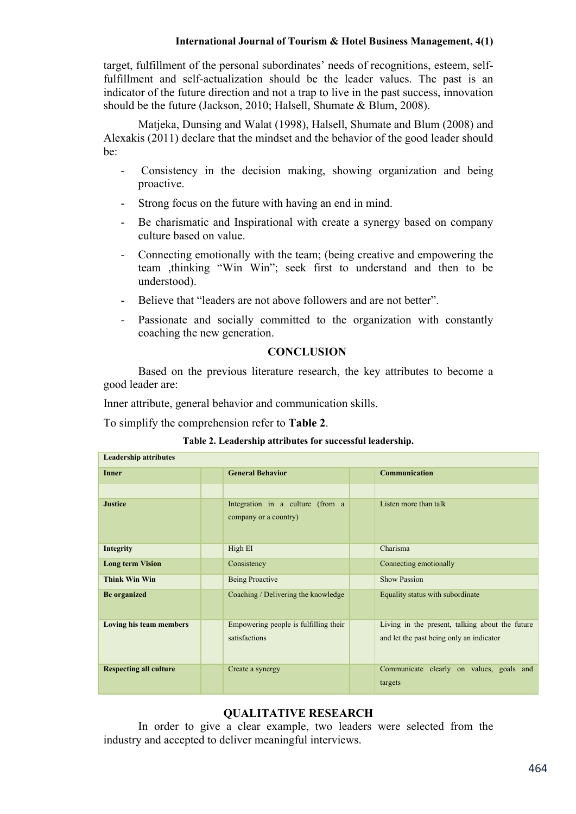## **International Journal of Tourism & Hotel Business Management, 3(2)**

target, fulfillment of the personal subordinates' needs of recognitions, esteem, selffulfillment and self-actualization should be the leader values. The past is an indicator of the future direction and not a trap to live in the past success, innovation should be the future (Jackson, 2010; Halsell, Shumate & Blum, 2008).

Matjeka, Dunsing and Walat (1998), Halsell, Shumate and Blum (2008) and Alexakis (2011) declare that the mindset and the behavior of the good leader should be:

- Consistency in the decision making, showing organization and being proactive.
- Strong focus on the future with having an end in mind.
- Be charismatic and Inspirational with create a synergy based on company culture based on value.
- Connecting emotionally with the team; (being creative and empowering the team ,thinking "Win Win"; seek first to understand and then to be understood).
- Believe that "leaders are not above followers and are not better".
- Passionate and socially committed to the organization with constantly coaching the new generation.

# **CONCLUSION**

Based on the previous literature research, the key attributes to become a good leader are:

Inner attribute, general behavior and communication skills.

To simplify the comprehension refer to **Table 2**.

#### **Table 2. Leadership attributes for successful leadership.**

| <b>Leadership attributes</b>  |  |                                                           |  |                                                                                             |
|-------------------------------|--|-----------------------------------------------------------|--|---------------------------------------------------------------------------------------------|
| <b>Inner</b>                  |  | <b>General Behavior</b>                                   |  | Communication                                                                               |
|                               |  |                                                           |  |                                                                                             |
| <b>Justice</b>                |  | Integration in a culture (from a<br>company or a country) |  | Listen more than talk                                                                       |
| <b>Integrity</b>              |  | High EI                                                   |  | Charisma                                                                                    |
| <b>Long term Vision</b>       |  | Consistency                                               |  | Connecting emotionally                                                                      |
| <b>Think Win Win</b>          |  | <b>Being Proactive</b>                                    |  | <b>Show Passion</b>                                                                         |
| <b>Be</b> organized           |  | Coaching / Delivering the knowledge                       |  | Equality status with subordinate                                                            |
| Loving his team members       |  | Empowering people is fulfilling their<br>satisfactions    |  | Living in the present, talking about the future<br>and let the past being only an indicator |
| <b>Respecting all culture</b> |  | Create a synergy                                          |  | Communicate clearly on values, goals and<br>targets                                         |

# **QUALITATIVE RESEARCH**

In order to give a clear example, two leaders were selected from the industry and accepted to deliver meaningful interviews.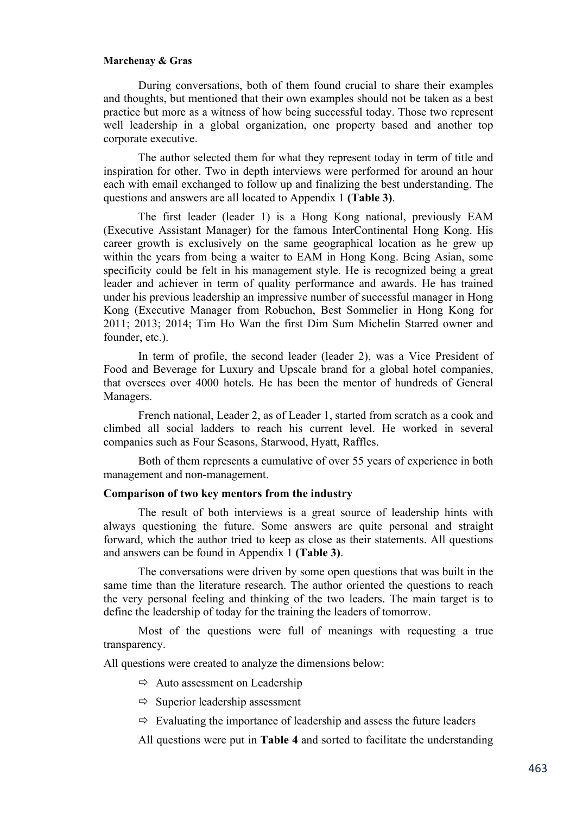During conversations, both of them found crucial to share their examples and thoughts, but mentioned that their own examples should not be taken as a best practice but more as a witness of how being successful today. Those two represent well leadership in a global organization, one property based and another top corporate executive.

The author selected them for what they represent today in term of title and inspiration for other. Two in depth interviews were performed for around an hour each with email exchanged to follow up and finalizing the best understanding. The questions and answers are all located to Appendix 1 **(Table 3)**.

The first leader (leader 1) is a Hong Kong national, previously EAM (Executive Assistant Manager) for the famous InterContinental Hong Kong. His career growth is exclusively on the same geographical location as he grew up within the years from being a waiter to EAM in Hong Kong. Being Asian, some specificity could be felt in his management style. He is recognized being a great leader and achiever in term of quality performance and awards. He has trained under his previous leadership an impressive number of successful manager in Hong Kong (Executive Manager from Robuchon, Best Sommelier in Hong Kong for 2011; 2013; 2014; Tim Ho Wan the first Dim Sum Michelin Starred owner and founder, etc.).

In term of profile, the second leader (leader 2), was a Vice President of Food and Beverage for Luxury and Upscale brand for a global hotel companies, that oversees over 4000 hotels. He has been the mentor of hundreds of General Managers.

French national, Leader 2, as of Leader 1, started from scratch as a cook and climbed all social ladders to reach his current level. He worked in several companies such as Four Seasons, Starwood, Hyatt, Raffles.

Both of them represents a cumulative of over 55 years of experience in both management and non-management.

#### **Comparison of two key mentors from the industry**

The result of both interviews is a great source of leadership hints with always questioning the future. Some answers are quite personal and straight forward, which the author tried to keep as close as their statements. All questions and answers can be found in Appendix 1 **(Table 3)**.

The conversations were driven by some open questions that was built in the same time than the literature research. The author oriented the questions to reach the very personal feeling and thinking of the two leaders. The main target is to define the leadership of today for the training the leaders of tomorrow.

Most of the questions were full of meanings with requesting a true transparency.

All questions were created to analyze the dimensions below:

 $\Rightarrow$  Auto assessment on Leadership

 $\Rightarrow$  Superior leadership assessment

 $\Rightarrow$  Evaluating the importance of leadership and assess the future leaders

All questions were put in **Table 4** and sorted to facilitate the understanding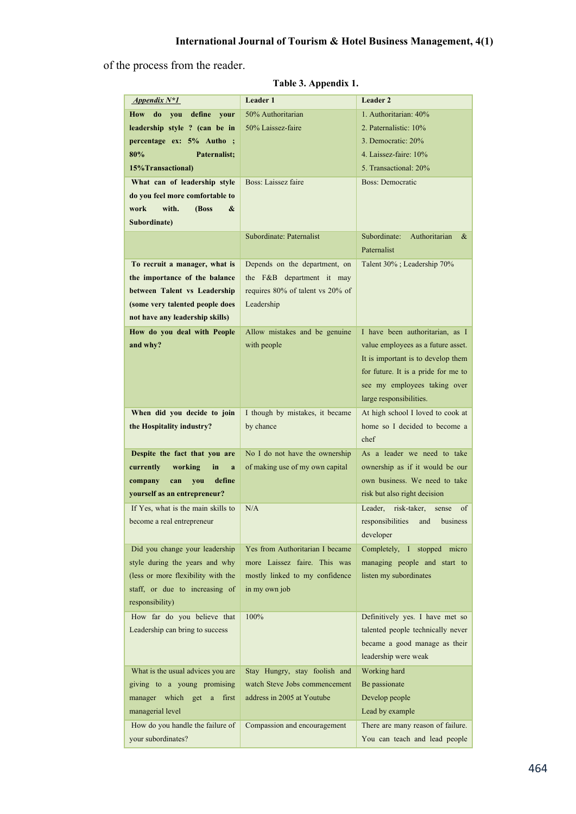of the process from the reader.

| Appendix $N^*1$                    | <b>Leader 1</b>                  | Leader 2                              |
|------------------------------------|----------------------------------|---------------------------------------|
| do<br>How<br>you<br>define<br>your | 50% Authoritarian                | 1. Authoritarian: 40%                 |
| leadership style ? (can be in      | 50% Laissez-faire                | 2. Paternalistic: 10%                 |
| percentage ex: 5% Autho ;          |                                  | 3. Democratic: 20%                    |
| 80%<br>Paternalist;                |                                  | 4. Laissez-faire: 10%                 |
| 15% Transactional)                 |                                  | 5. Transactional: 20%                 |
| What can of leadership style       | Boss: Laissez faire              | <b>Boss: Democratic</b>               |
| do you feel more comfortable to    |                                  |                                       |
| work<br>with.<br>(Boss<br>&        |                                  |                                       |
| Subordinate)                       |                                  |                                       |
|                                    | Subordinate: Paternalist         | Subordinate:<br>Authoritarian<br>&    |
|                                    |                                  | Paternalist                           |
| To recruit a manager, what is      | Depends on the department, on    | Talent 30%; Leadership 70%            |
| the importance of the balance      | the F&B department it may        |                                       |
| between Talent vs Leadership       | requires 80% of talent vs 20% of |                                       |
| (some very talented people does    | Leadership                       |                                       |
| not have any leadership skills)    |                                  |                                       |
| How do you deal with People        | Allow mistakes and be genuine    | I have been authoritarian, as I       |
| and why?                           | with people                      | value employees as a future asset.    |
|                                    |                                  | It is important is to develop them    |
|                                    |                                  |                                       |
|                                    |                                  | for future. It is a pride for me to   |
|                                    |                                  | see my employees taking over          |
|                                    |                                  | large responsibilities.               |
| When did you decide to join        | I though by mistakes, it became  | At high school I loved to cook at     |
| the Hospitality industry?          | by chance                        | home so I decided to become a         |
|                                    |                                  | chef                                  |
| Despite the fact that you are      | No I do not have the ownership   | As a leader we need to take           |
| working<br>currently<br>in<br>a    | of making use of my own capital  | ownership as if it would be our       |
| define<br>you<br>company<br>can    |                                  | own business. We need to take         |
| yourself as an entrepreneur?       |                                  | risk but also right decision          |
| If Yes, what is the main skills to | N/A                              | risk-taker,<br>Leader.<br>sense<br>οf |
| become a real entrepreneur         |                                  | responsibilities and business         |
|                                    |                                  | developer                             |
| Did you change your leadership     | Yes from Authoritarian I became  | Completely, I stopped micro           |
| style during the years and why     | more Laissez faire. This was     | managing people and start to          |
| (less or more flexibility with the | mostly linked to my confidence   | listen my subordinates                |
| staff, or due to increasing of     | in my own job                    |                                       |
| responsibility)                    |                                  |                                       |
| How far do you believe that        | 100%                             | Definitively yes. I have met so       |
| Leadership can bring to success    |                                  | talented people technically never     |
|                                    |                                  | became a good manage as their         |
|                                    |                                  | leadership were weak                  |
| What is the usual advices you are  | Stay Hungry, stay foolish and    | Working hard                          |
| giving to a young promising        | watch Steve Jobs commencement    | Be passionate                         |
| manager which get a<br>first       | address in 2005 at Youtube       | Develop people                        |
| managerial level                   |                                  | Lead by example                       |
| How do you handle the failure of   | Compassion and encouragement     | There are many reason of failure.     |
| your subordinates?                 |                                  | You can teach and lead people         |

**Table 3. Appendix 1.**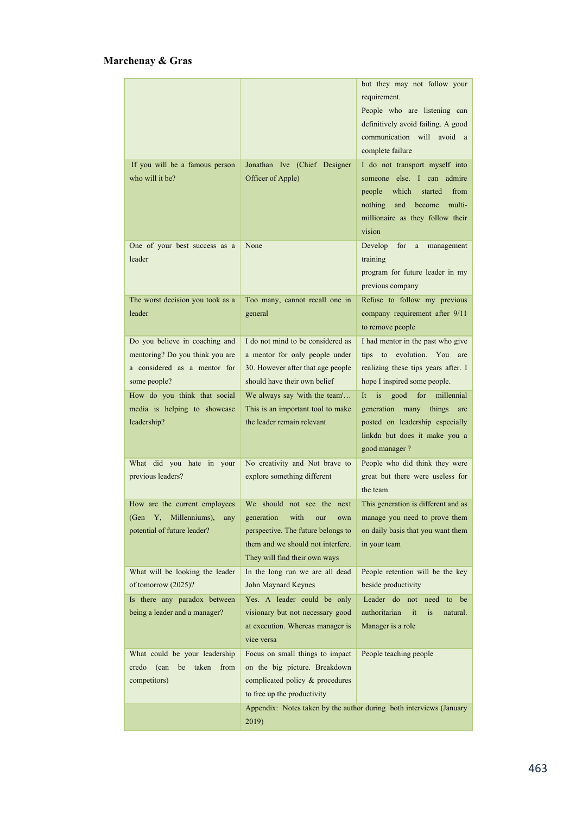|                                                                                                                   |                                                                                                                                                                            | but they may not follow your<br>requirement.<br>People who are listening can<br>definitively avoid failing. A good<br>communication will avoid a<br>complete failure                   |
|-------------------------------------------------------------------------------------------------------------------|----------------------------------------------------------------------------------------------------------------------------------------------------------------------------|----------------------------------------------------------------------------------------------------------------------------------------------------------------------------------------|
| If you will be a famous person<br>who will it be?                                                                 | Jonathan Ive (Chief Designer<br>Officer of Apple)                                                                                                                          | I do not transport myself into<br>someone else. I can admire<br>people<br>which<br>from<br>started<br>and<br>become<br>multi-<br>nothing<br>millionaire as they follow their<br>vision |
| One of your best success as a<br>leader                                                                           | None                                                                                                                                                                       | Develop<br>for<br>management<br>$\rm{a}$<br>training<br>program for future leader in my<br>previous company                                                                            |
| The worst decision you took as a<br>leader                                                                        | Too many, cannot recall one in<br>general                                                                                                                                  | Refuse to follow my previous<br>company requirement after 9/11<br>to remove people                                                                                                     |
| Do you believe in coaching and<br>mentoring? Do you think you are<br>a considered as a mentor for<br>some people? | I do not mind to be considered as<br>a mentor for only people under<br>30. However after that age people<br>should have their own belief                                   | I had mentor in the past who give<br>evolution. You are<br>tips to<br>realizing these tips years after. I<br>hope I inspired some people.                                              |
| How do you think that social<br>media is helping to showcase<br>leadership?                                       | We always say 'with the team'<br>This is an important tool to make<br>the leader remain relevant                                                                           | It<br>is<br>good<br>for<br>millennial<br>generation<br>many<br>things<br>are<br>posted on leadership especially<br>linkdn but does it make you a<br>good manager?                      |
| What did you hate in your<br>previous leaders?                                                                    | No creativity and Not brave to<br>explore something different                                                                                                              | People who did think they were<br>great but there were useless for<br>the team                                                                                                         |
| How are the current employees<br>Millenniums),<br>(Gen<br>Y,<br>any<br>potential of future leader?                | We should not see the next<br>generation<br>with<br>our<br>own<br>perspective. The future belongs to<br>them and we should not interfere.<br>They will find their own ways | This generation is different and as<br>manage you need to prove them<br>on daily basis that you want them<br>in your team                                                              |
| What will be looking the leader<br>of tomorrow (2025)?                                                            | In the long run we are all dead<br>John Maynard Keynes                                                                                                                     | People retention will be the key<br>beside productivity                                                                                                                                |
| Is there any paradox between<br>being a leader and a manager?                                                     | Yes. A leader could be only<br>visionary but not necessary good<br>at execution. Whereas manager is<br>vice versa                                                          | Leader do not need<br>to be<br>authoritarian<br>it<br>is<br>natural.<br>Manager is a role                                                                                              |
| What could be your leadership<br>(can<br>from<br>credo<br>be<br>taken<br>competitors)                             | Focus on small things to impact<br>on the big picture. Breakdown<br>complicated policy & procedures<br>to free up the productivity                                         | People teaching people                                                                                                                                                                 |
|                                                                                                                   | 2019)                                                                                                                                                                      | Appendix: Notes taken by the author during both interviews (January                                                                                                                    |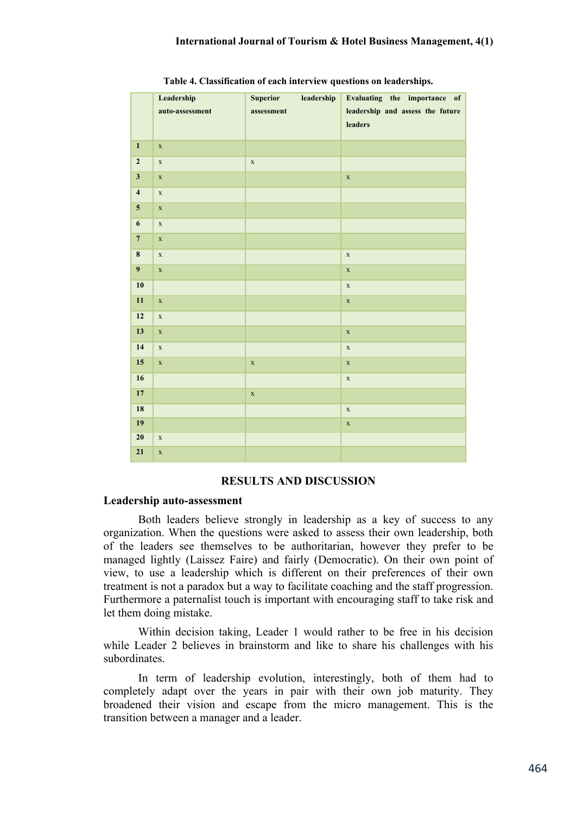#### **International Journal of Tourism & Hotel Business Management, 3(2)**

|                          | Leadership<br>auto-assessment | leadership<br><b>Superior</b><br>assessment | Evaluating the importance of<br>leadership and assess the future<br>leaders |
|--------------------------|-------------------------------|---------------------------------------------|-----------------------------------------------------------------------------|
|                          |                               |                                             |                                                                             |
| $\mathbf{1}$             | $\mathbf X$                   |                                             |                                                                             |
| $\mathbf 2$              | $\mathbf X$                   | $\mathbf X$                                 |                                                                             |
| $\overline{\mathbf{3}}$  | $\mathbf x$                   |                                             | $\mathbf x$                                                                 |
| $\overline{\mathbf{4}}$  | $\mathbf x$                   |                                             |                                                                             |
| $\overline{\mathbf{5}}$  | $\mathbf x$                   |                                             |                                                                             |
| 6                        | $\mathbf X$                   |                                             |                                                                             |
| $\overline{7}$           | $\mathbf X$                   |                                             |                                                                             |
| $\pmb{8}$                | $\mathbf X$                   |                                             | $\mathbf X$                                                                 |
| $\overline{9}$           | $\mathbf x$                   |                                             | $\mathbf X$                                                                 |
| 10                       |                               |                                             | $\mathbf x$                                                                 |
| 11                       | $\mathbf X$                   |                                             | $\mathbf X$                                                                 |
| $\overline{\mathbf{12}}$ | $\mathbf X$                   |                                             |                                                                             |
| 13                       | $\mathbf x$                   |                                             | $\mathbf X$                                                                 |
| 14                       | $\mathbf X$                   |                                             | $\mathbf X$                                                                 |
| 15                       | $\mathbf x$                   | $\mathbf x$                                 | $\mathbf X$                                                                 |
| 16                       |                               |                                             | $\mathbf X$                                                                 |
| 17                       |                               | $\mathbf x$                                 |                                                                             |
| 18                       |                               |                                             | $\mathbf X$                                                                 |
| 19                       |                               |                                             | $\mathbf x$                                                                 |
| 20                       | $\mathbf X$                   |                                             |                                                                             |
| 21                       | $\mathbf X$                   |                                             |                                                                             |

**Table 4. Classification of each interview questions on leaderships.**

#### **RESULTS AND DISCUSSION**

#### **Leadership auto-assessment**

Both leaders believe strongly in leadership as a key of success to any organization. When the questions were asked to assess their own leadership, both of the leaders see themselves to be authoritarian, however they prefer to be managed lightly (Laissez Faire) and fairly (Democratic). On their own point of view, to use a leadership which is different on their preferences of their own treatment is not a paradox but a way to facilitate coaching and the staff progression. Furthermore a paternalist touch is important with encouraging staff to take risk and let them doing mistake.

Within decision taking, Leader 1 would rather to be free in his decision while Leader 2 believes in brainstorm and like to share his challenges with his subordinates.

In term of leadership evolution, interestingly, both of them had to completely adapt over the years in pair with their own job maturity. They broadened their vision and escape from the micro management. This is the transition between a manager and a leader.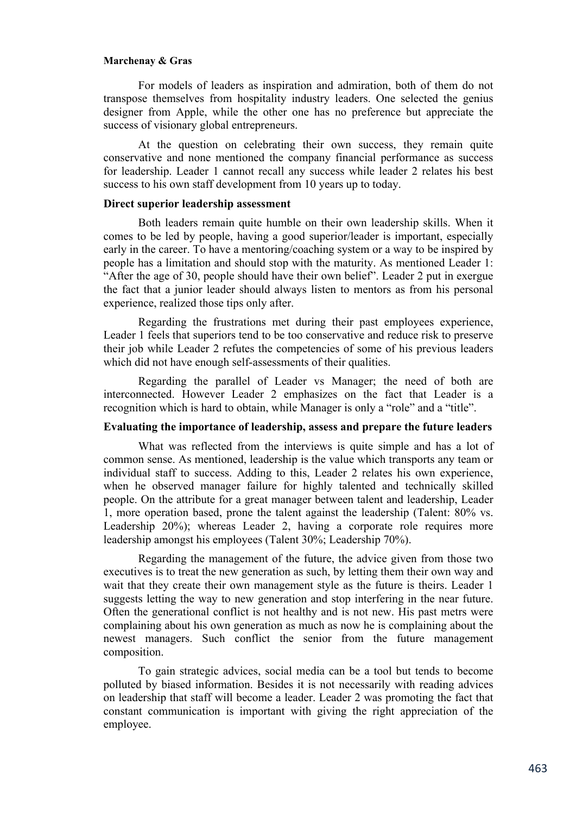For models of leaders as inspiration and admiration, both of them do not transpose themselves from hospitality industry leaders. One selected the genius designer from Apple, while the other one has no preference but appreciate the success of visionary global entrepreneurs.

At the question on celebrating their own success, they remain quite conservative and none mentioned the company financial performance as success for leadership. Leader 1 cannot recall any success while leader 2 relates his best success to his own staff development from 10 years up to today.

#### **Direct superior leadership assessment**

Both leaders remain quite humble on their own leadership skills. When it comes to be led by people, having a good superior/leader is important, especially early in the career. To have a mentoring/coaching system or a way to be inspired by people has a limitation and should stop with the maturity. As mentioned Leader 1: "After the age of 30, people should have their own belief". Leader 2 put in exergue the fact that a junior leader should always listen to mentors as from his personal experience, realized those tips only after.

Regarding the frustrations met during their past employees experience, Leader 1 feels that superiors tend to be too conservative and reduce risk to preserve their job while Leader 2 refutes the competencies of some of his previous leaders which did not have enough self-assessments of their qualities.

Regarding the parallel of Leader vs Manager; the need of both are interconnected. However Leader 2 emphasizes on the fact that Leader is a recognition which is hard to obtain, while Manager is only a "role" and a "title".

## **Evaluating the importance of leadership, assess and prepare the future leaders**

What was reflected from the interviews is quite simple and has a lot of common sense. As mentioned, leadership is the value which transports any team or individual staff to success. Adding to this, Leader 2 relates his own experience, when he observed manager failure for highly talented and technically skilled people. On the attribute for a great manager between talent and leadership, Leader 1, more operation based, prone the talent against the leadership (Talent: 80% vs. Leadership 20%); whereas Leader 2, having a corporate role requires more leadership amongst his employees (Talent 30%; Leadership 70%).

Regarding the management of the future, the advice given from those two executives is to treat the new generation as such, by letting them their own way and wait that they create their own management style as the future is theirs. Leader 1 suggests letting the way to new generation and stop interfering in the near future. Often the generational conflict is not healthy and is not new. His past metrs were complaining about his own generation as much as now he is complaining about the newest managers. Such conflict the senior from the future management composition.

To gain strategic advices, social media can be a tool but tends to become polluted by biased information. Besides it is not necessarily with reading advices on leadership that staff will become a leader. Leader 2 was promoting the fact that constant communication is important with giving the right appreciation of the employee.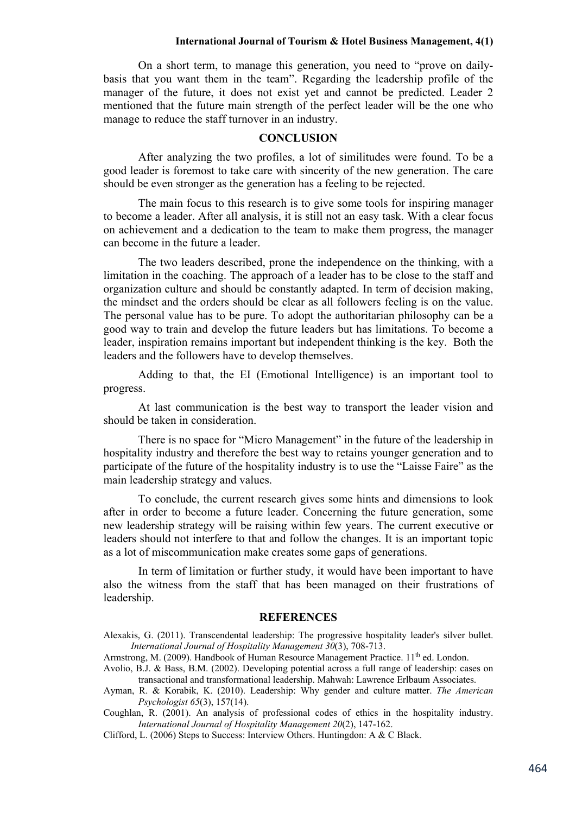#### **International Journal of Tourism & Hotel Business Management, 3(2)**

On a short term, to manage this generation, you need to "prove on dailybasis that you want them in the team". Regarding the leadership profile of the manager of the future, it does not exist yet and cannot be predicted. Leader 2 mentioned that the future main strength of the perfect leader will be the one who manage to reduce the staff turnover in an industry.

#### **CONCLUSION**

After analyzing the two profiles, a lot of similitudes were found. To be a good leader is foremost to take care with sincerity of the new generation. The care should be even stronger as the generation has a feeling to be rejected.

The main focus to this research is to give some tools for inspiring manager to become a leader. After all analysis, it is still not an easy task. With a clear focus on achievement and a dedication to the team to make them progress, the manager can become in the future a leader.

The two leaders described, prone the independence on the thinking, with a limitation in the coaching. The approach of a leader has to be close to the staff and organization culture and should be constantly adapted. In term of decision making, the mindset and the orders should be clear as all followers feeling is on the value. The personal value has to be pure. To adopt the authoritarian philosophy can be a good way to train and develop the future leaders but has limitations. To become a leader, inspiration remains important but independent thinking is the key. Both the leaders and the followers have to develop themselves.

Adding to that, the EI (Emotional Intelligence) is an important tool to progress.

At last communication is the best way to transport the leader vision and should be taken in consideration.

There is no space for "Micro Management" in the future of the leadership in hospitality industry and therefore the best way to retains younger generation and to participate of the future of the hospitality industry is to use the "Laisse Faire" as the main leadership strategy and values.

To conclude, the current research gives some hints and dimensions to look after in order to become a future leader. Concerning the future generation, some new leadership strategy will be raising within few years. The current executive or leaders should not interfere to that and follow the changes. It is an important topic as a lot of miscommunication make creates some gaps of generations.

In term of limitation or further study, it would have been important to have also the witness from the staff that has been managed on their frustrations of leadership.

#### **REFERENCES**

Alexakis, G. (2011). Transcendental leadership: The progressive hospitality leader's silver bullet. *International Journal of Hospitality Management 30*(3), 708-713.

Armstrong, M. (2009). Handbook of Human Resource Management Practice.  $11<sup>th</sup>$  ed. London.

Avolio, B.J. & Bass, B.M. (2002). Developing potential across a full range of leadership: cases on transactional and transformational leadership. Mahwah: Lawrence Erlbaum Associates.

Ayman, R. & Korabik, K. (2010). Leadership: Why gender and culture matter. *The American Psychologist 65*(3), 157(14).

Coughlan, R. (2001). An analysis of professional codes of ethics in the hospitality industry. *International Journal of Hospitality Management 20*(2), 147-162.

Clifford, L. (2006) Steps to Success: Interview Others. Huntingdon: A & C Black.